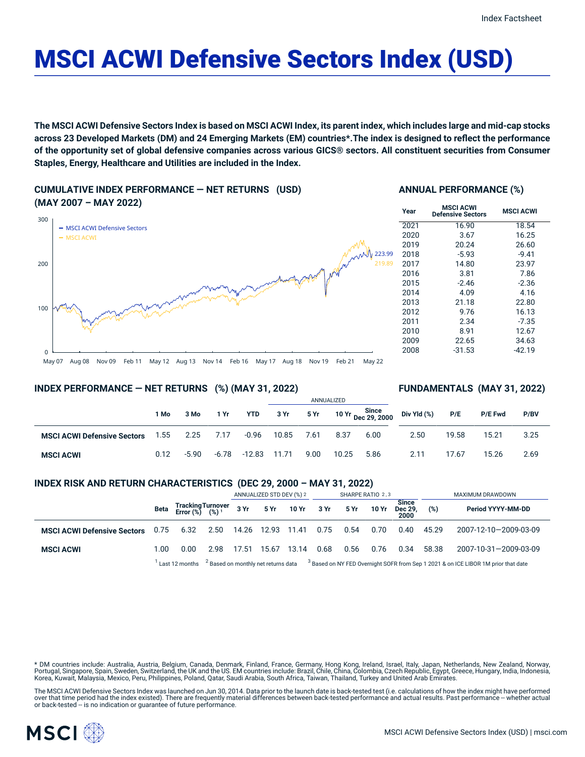# MSCI ACWI Defensive Sectors Index (USD)

The MSCI ACWI Defensive Sectors Index is based on MSCI ACWI Index, its parent index, which includes large and mid-cap stocks across 23 Developed Markets (DM) and 24 Emerging Markets (EM) countries\*. The index is designed to reflect the performance of the opportunity set of global defensive companies across various GICS® sectors. All constituent securities from Consumer **Staples, Energy, Healthcare and Utilities are included in the Index.**

**CUMULATIVE INDEX PERFORMANCE — NET RETURNS (USD) (MAY 2007 – MAY 2022)**



#### **ANNUAL PERFORMANCE (%)**

| <b>MSCI ACWI</b><br><b>Defensive Sectors</b> | <b>MSCI ACWI</b> |
|----------------------------------------------|------------------|
| 16.90                                        | 18.54            |
| 3.67                                         | 16.25            |
| 20.24                                        | 26.60            |
| $-5.93$                                      | $-9.41$          |
| 14.80                                        | 23.97            |
| 3.81                                         | 7.86             |
| $-2.46$                                      | $-2.36$          |
| 4.09                                         | 4.16             |
| 21.18                                        | 22.80            |
| 9.76                                         | 16.13            |
| 2.34                                         | $-7.35$          |
| 8.91                                         | 12.67            |
| 22.65                                        | 34.63            |
| $-31.53$                                     | -42.19           |
|                                              |                  |

#### May 07 Aug 08 Nov 09 Feb 11 May 12 Aug 13 Nov 14 Feb 16 May 17 Aug 18 Nov 19 Feb 21 May 22

#### **INDEX PERFORMANCE — NET RETURNS (%) (MAY 31, 2022)**

#### **FUNDAMENTALS (MAY 31, 2022)**

|                                    |      |         |         |            | ANNUALIZED |      |       |                             |             |       |                |      |
|------------------------------------|------|---------|---------|------------|------------|------|-------|-----------------------------|-------------|-------|----------------|------|
|                                    | 1 Mo | 3 Mo    | 1 Yr    | <b>YTD</b> | 3 Yr       | 5 Yr |       | 10 Yr Since<br>Dec 29, 2000 | Div Yld (%) | P/E   | <b>P/E Fwd</b> | P/BV |
| <b>MSCI ACWI Defensive Sectors</b> | 1.55 | 2.25    | 7.17    | $-0.96$    | 10.85      | 7.61 | 8.37  | 6.00                        | 2.50        | 19.58 | 15.21          | 3.25 |
| <b>MSCI ACWI</b>                   | 0.12 | $-5.90$ | $-6.78$ | $-12.83$   | 11.71      | 9.00 | 10.25 | 5.86                        | 2.11        | 17.67 | 15.26          | 2.69 |

#### **INDEX RISK AND RETURN CHARACTERISTICS (DEC 29, 2000 – MAY 31, 2022)**

|                                    |                                                                                                                                              |                                                 |      | ANNUALIZED STD DEV (%) 2 |             |                      | SHARPE RATIO 2,3 |      |       |                                 | MAXIMUM DRAWDOWN |                       |  |
|------------------------------------|----------------------------------------------------------------------------------------------------------------------------------------------|-------------------------------------------------|------|--------------------------|-------------|----------------------|------------------|------|-------|---------------------------------|------------------|-----------------------|--|
|                                    | Beta                                                                                                                                         | Tracking Turnover<br>Error (%) (%) <sup>1</sup> |      |                          |             | 3 Yr 5 Yr 10 Yr 3 Yr |                  | 5 Yr | 10 Yr | <b>Since</b><br>Dec 29,<br>2000 | (%)              | Period YYYY-MM-DD     |  |
| <b>MSCI ACWI Defensive Sectors</b> | 0.75                                                                                                                                         | 6.32                                            |      |                          |             |                      | 0.75             | 0.54 | 0.70  | 0.40                            | 45.29            | 2007-12-10-2009-03-09 |  |
| <b>MSCI ACWI</b>                   | 1.00                                                                                                                                         | 0.00                                            | 2.98 | 17.51                    | 15.67 13.14 |                      | 0.68             | 0.56 | 0.76  | 0.34                            | 58.38            | 2007-10-31-2009-03-09 |  |
|                                    | $3$ Based on monthly net returns data $3$ Based on NY FED Overnight SOFR from Sep 1 2021 & on ICE LIBOR 1M prior that date<br>Last 12 months |                                                 |      |                          |             |                      |                  |      |       |                                 |                  |                       |  |

\* DM countries include: Australia, Austria, Belgium, Canada, Denmark, Finland, France, Germany, Hong Kong, Ireland, Israel, Italy, Japan, Netherlands, New Zealand, Norway, Portugal, Singapore, Spain, Sweden, Switzerland, the UK and the US. EM countries include: Brazil, Chile, China, Colombia, Czech Republic, Egypt, Greece, Hungary, India, Indonesia, Korea, Kuwait, Malaysia, Mexico, Peru, Philippines, Poland, Qatar, Saudi Arabia, South Africa, Taiwan, Thailand, Turkey and United Arab Emirates.

The MSCI ACWI Defensive Sectors Index was launched on Jun 30, 2014. Data prior to the launch date is back-tested test (i.e. calculations of how the index might have performed over that time period had the index existed). There are frequently material differences between back-tested performance and actual results. Past performance -- whether actual or back-tested -- is no indication or guarantee of future performance.

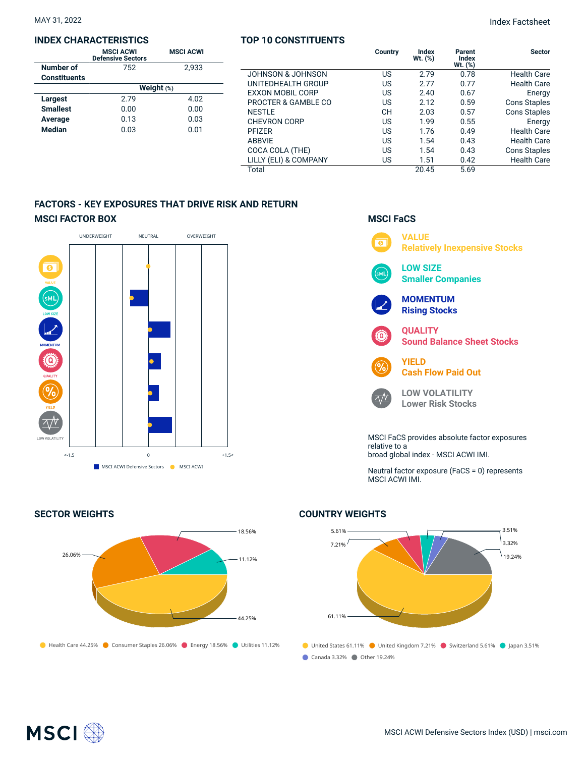#### **INDEX CHARACTERISTICS**

|                     | <b>MSCI ACWI</b><br><b>Defensive Sectors</b> | <b>MSCI ACWI</b> |  |  |  |  |  |
|---------------------|----------------------------------------------|------------------|--|--|--|--|--|
| Number of           | 752                                          | 2.933            |  |  |  |  |  |
| <b>Constituents</b> |                                              |                  |  |  |  |  |  |
|                     | Weight $(*)$                                 |                  |  |  |  |  |  |
| Largest             | 2.79                                         | 4.02             |  |  |  |  |  |
| <b>Smallest</b>     | 0.00                                         | 0.00             |  |  |  |  |  |
| Average             | 0.13                                         | 0.03             |  |  |  |  |  |
| <b>Median</b>       | 0.03                                         | 0.01             |  |  |  |  |  |

#### **TOP 10 CONSTITUENTS**

|                         | Country   | Index<br>Wt. $(\%)$ | Parent<br><b>Index</b><br>$Wt.$ $(\%)$ | <b>Sector</b>       |
|-------------------------|-----------|---------------------|----------------------------------------|---------------------|
| JOHNSON & JOHNSON       | US        | 2.79                | 0.78                                   | <b>Health Care</b>  |
| UNITEDHEALTH GROUP      | US        | 2.77                | 0.77                                   | <b>Health Care</b>  |
| <b>EXXON MOBIL CORP</b> | US        | 2.40                | 0.67                                   | Energy              |
| PROCTER & GAMBLE CO     | US        | 2.12                | 0.59                                   | <b>Cons Staples</b> |
| <b>NESTLE</b>           | <b>CH</b> | 2.03                | 0.57                                   | <b>Cons Staples</b> |
| <b>CHEVRON CORP</b>     | US        | 1.99                | 0.55                                   | Energy              |
| <b>PFIZER</b>           | US        | 1.76                | 0.49                                   | <b>Health Care</b>  |
| <b>ABBVIE</b>           | US        | 1.54                | 0.43                                   | <b>Health Care</b>  |
| COCA COLA (THE)         | US        | 1.54                | 0.43                                   | <b>Cons Staples</b> |
| LILLY (ELI) & COMPANY   | US        | 1.51                | 0.42                                   | <b>Health Care</b>  |
| Total                   |           | 20.45               | 5.69                                   |                     |

**MSCI FaCS**

 $\overline{\bullet}$ 

**VALUE**

**LOW SIZE**

**QUALITY**

**YIELD**

relative to a

 $\overline{\wedge}\mathcal{N}$ 

MSCI ACWI IMI.

**MOMENTUM Rising Stocks**

**Smaller Companies**

**Cash Flow Paid Out**

**LOW VOLATILITY Lower Risk Stocks**

broad global index - MSCI ACWI IMI.

MSCI FaCS provides absolute factor exposures

Neutral factor exposure (FaCS = 0) represents

**Relatively Inexpensive Stocks**

**Sound Balance Sheet Stocks**

### **FACTORS - KEY EXPOSURES THAT DRIVE RISK AND RETURN MSCI FACTOR BOX**





## **COUNTRY WEIGHTS**